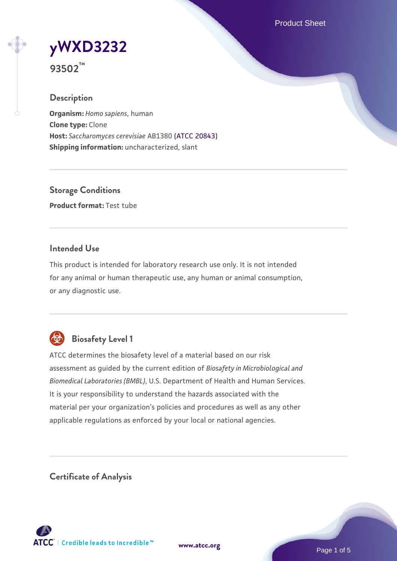Product Sheet

**[yWXD3232](https://www.atcc.org/products/93502)**

**93502™**

### **Description**

**Organism:** *Homo sapiens*, human **Clone type:** Clone **Host:** *Saccharomyces cerevisiae* AB1380 [\(ATCC 20843\)](https://www.atcc.org/products/20843) **Shipping information:** uncharacterized, slant

**Storage Conditions Product format:** Test tube

### **Intended Use**

This product is intended for laboratory research use only. It is not intended for any animal or human therapeutic use, any human or animal consumption, or any diagnostic use.



# **Biosafety Level 1**

ATCC determines the biosafety level of a material based on our risk assessment as guided by the current edition of *Biosafety in Microbiological and Biomedical Laboratories (BMBL)*, U.S. Department of Health and Human Services. It is your responsibility to understand the hazards associated with the material per your organization's policies and procedures as well as any other applicable regulations as enforced by your local or national agencies.

**Certificate of Analysis**

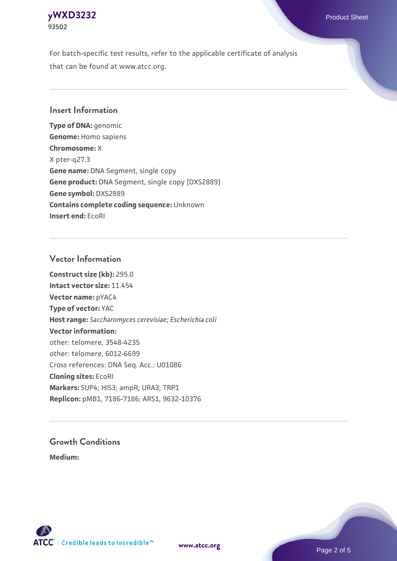### **[yWXD3232](https://www.atcc.org/products/93502)** Product Sheet **93502**

For batch-specific test results, refer to the applicable certificate of analysis that can be found at www.atcc.org.

## **Insert Information**

**Type of DNA:** genomic **Genome:** Homo sapiens **Chromosome:** X X pter-q27.3 **Gene name:** DNA Segment, single copy **Gene product:** DNA Segment, single copy [DXS2889] **Gene symbol:** DXS2889 **Contains complete coding sequence:** Unknown **Insert end:** EcoRI

### **Vector Information**

**Construct size (kb):** 295.0 **Intact vector size:** 11.454 **Vector name:** pYAC4 **Type of vector:** YAC **Host range:** *Saccharomyces cerevisiae*; *Escherichia coli* **Vector information:** other: telomere, 3548-4235 other: telomere, 6012-6699 Cross references: DNA Seq. Acc.: U01086 **Cloning sites:** EcoRI **Markers:** SUP4; HIS3; ampR; URA3; TRP1 **Replicon:** pMB1, 7186-7186; ARS1, 9632-10376

# **Growth Conditions**

**Medium:** 



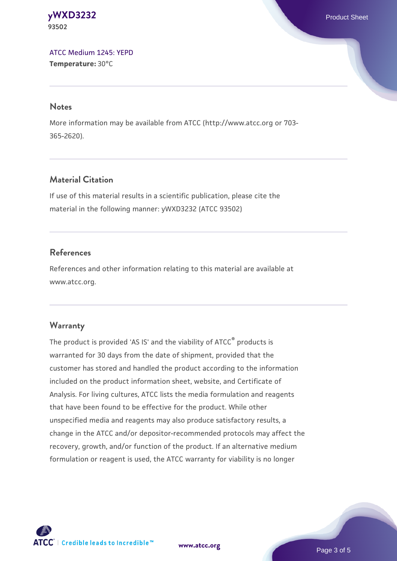#### **[yWXD3232](https://www.atcc.org/products/93502)** Product Sheet **93502**

[ATCC Medium 1245: YEPD](https://www.atcc.org/-/media/product-assets/documents/microbial-media-formulations/1/2/4/5/atcc-medium-1245.pdf?rev=705ca55d1b6f490a808a965d5c072196) **Temperature:** 30°C

#### **Notes**

More information may be available from ATCC (http://www.atcc.org or 703- 365-2620).

# **Material Citation**

If use of this material results in a scientific publication, please cite the material in the following manner: yWXD3232 (ATCC 93502)

# **References**

References and other information relating to this material are available at www.atcc.org.

# **Warranty**

The product is provided 'AS IS' and the viability of ATCC® products is warranted for 30 days from the date of shipment, provided that the customer has stored and handled the product according to the information included on the product information sheet, website, and Certificate of Analysis. For living cultures, ATCC lists the media formulation and reagents that have been found to be effective for the product. While other unspecified media and reagents may also produce satisfactory results, a change in the ATCC and/or depositor-recommended protocols may affect the recovery, growth, and/or function of the product. If an alternative medium formulation or reagent is used, the ATCC warranty for viability is no longer



**[www.atcc.org](http://www.atcc.org)**

Page 3 of 5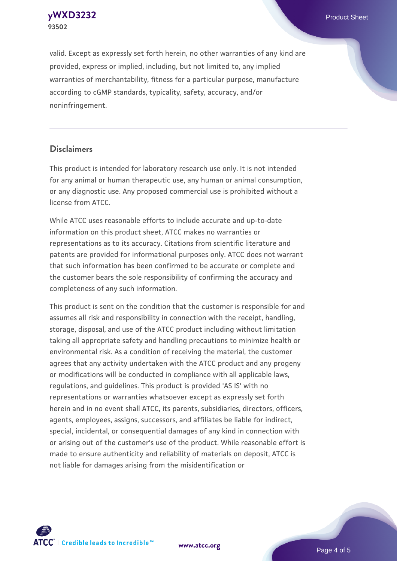**[yWXD3232](https://www.atcc.org/products/93502)** Product Sheet **93502**

valid. Except as expressly set forth herein, no other warranties of any kind are provided, express or implied, including, but not limited to, any implied warranties of merchantability, fitness for a particular purpose, manufacture according to cGMP standards, typicality, safety, accuracy, and/or noninfringement.

#### **Disclaimers**

This product is intended for laboratory research use only. It is not intended for any animal or human therapeutic use, any human or animal consumption, or any diagnostic use. Any proposed commercial use is prohibited without a license from ATCC.

While ATCC uses reasonable efforts to include accurate and up-to-date information on this product sheet, ATCC makes no warranties or representations as to its accuracy. Citations from scientific literature and patents are provided for informational purposes only. ATCC does not warrant that such information has been confirmed to be accurate or complete and the customer bears the sole responsibility of confirming the accuracy and completeness of any such information.

This product is sent on the condition that the customer is responsible for and assumes all risk and responsibility in connection with the receipt, handling, storage, disposal, and use of the ATCC product including without limitation taking all appropriate safety and handling precautions to minimize health or environmental risk. As a condition of receiving the material, the customer agrees that any activity undertaken with the ATCC product and any progeny or modifications will be conducted in compliance with all applicable laws, regulations, and guidelines. This product is provided 'AS IS' with no representations or warranties whatsoever except as expressly set forth herein and in no event shall ATCC, its parents, subsidiaries, directors, officers, agents, employees, assigns, successors, and affiliates be liable for indirect, special, incidental, or consequential damages of any kind in connection with or arising out of the customer's use of the product. While reasonable effort is made to ensure authenticity and reliability of materials on deposit, ATCC is not liable for damages arising from the misidentification or



**[www.atcc.org](http://www.atcc.org)**

Page 4 of 5